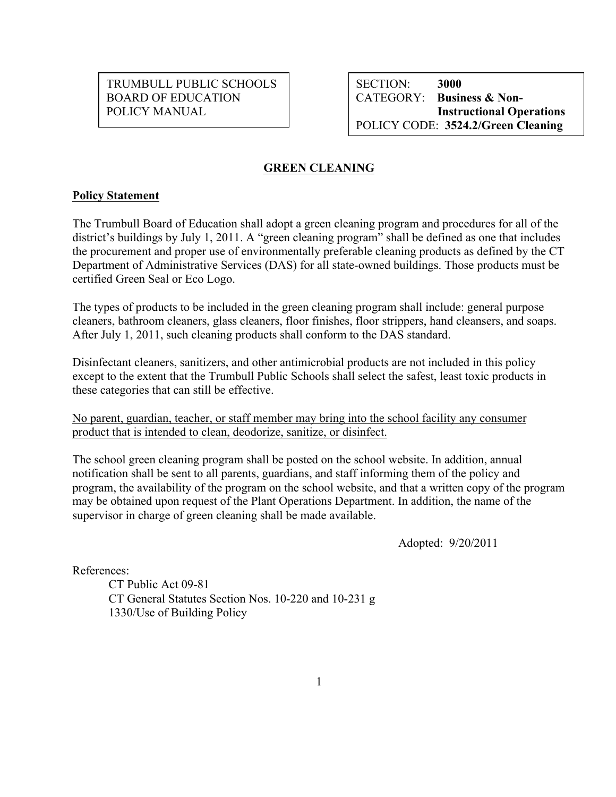POLICY MANUAL BOARD OF EDUCATION **CATEGORY: Business & Non-**TRUMBULL PUBLIC SCHOOLS | SECTION: 3000

**SECTION: Instructional Operations** POLICY CODE: **3524.2/Green Cleaning** 

# **EREEN CLEANING**<br> **Policy Statement**

 $\overline{a}$ 

The Trumbull Board of Education shall adopt a green cleaning program and procedures for all of the district's buildings by July 1, 2011. A "green cleaning program" shall be defined as one that includes the procurement and proper use of environmentally preferable cleaning products as defined by the CT Department of Administrative Services (DAS) for all state-owned buildings. Those products must be certified Green Seal or Eco Logo.

The types of products to be included in the green cleaning program shall include: general purpose cleaners, bathroom cleaners, glass cleaners, floor finishes, floor strippers, hand cleansers, and soaps. After July 1, 2011, such cleaning products shall conform to the DAS standard.

 these categories that can still be effective. Disinfectant cleaners, sanitizers, and other antimicrobial products are not included in this policy except to the extent that the Trumbull Public Schools shall select the safest, least toxic products in

No parent, guardian, teacher, or staff member may bring into the school facility any consumer product that is intended to clean, deodorize, sanitize, or disinfect.

The school green cleaning program shall be posted on the school website. In addition, annual notification shall be sent to all parents, guardians, and staff informing them of the policy and program, the availability of the program on the school website, and that a written copy of the program may be obtained upon request of the Plant Operations Department. In addition, the name of the supervisor in charge of green cleaning shall be made available.

Adopted: 9/20/2011

References:

CT Public Act 09-81 CT General Statutes Section Nos. 10-220 and 10-231 g 1330/Use of Building Policy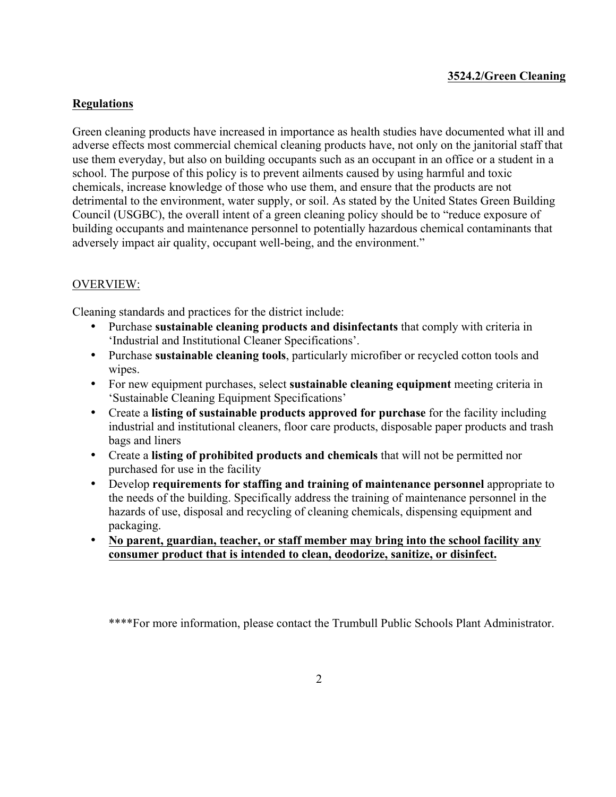## **3524.2/Green Cleaning**

## **Regulations**

 adversely impact air quality, occupant well-being, and the environment." Green cleaning products have increased in importance as health studies have documented what ill and adverse effects most commercial chemical cleaning products have, not only on the janitorial staff that use them everyday, but also on building occupants such as an occupant in an office or a student in a school. The purpose of this policy is to prevent ailments caused by using harmful and toxic chemicals, increase knowledge of those who use them, and ensure that the products are not detrimental to the environment, water supply, or soil. As stated by the United States Green Building Council (USGBC), the overall intent of a green cleaning policy should be to "reduce exposure of building occupants and maintenance personnel to potentially hazardous chemical contaminants that

#### OVERVIEW:

Cleaning standards and practices for the district include:

- • Purchase **sustainable cleaning products and disinfectants** that comply with criteria in 'Industrial and Institutional Cleaner Specifications'.
- Purchase **sustainable cleaning tools**, particularly microfiber or recycled cotton tools and wipes.
- For new equipment purchases, select **sustainable cleaning equipment** meeting criteria in 'Sustainable Cleaning Equipment Specifications'
- bags and liners • Create a **listing of sustainable products approved for purchase** for the facility including industrial and institutional cleaners, floor care products, disposable paper products and trash
- Create a **listing of prohibited products and chemicals** that will not be permitted nor purchased for use in the facility
- Develop **requirements for staffing and training of maintenance personnel** appropriate to the needs of the building. Specifically address the training of maintenance personnel in the hazards of use, disposal and recycling of cleaning chemicals, dispensing equipment and packaging.
- **No parent, guardian, teacher, or staff member may bring into the school facility any consumer product that is intended to clean, deodorize, sanitize, or disinfect.**

\*\*\*\*For more information, please contact the Trumbull Public Schools Plant Administrator.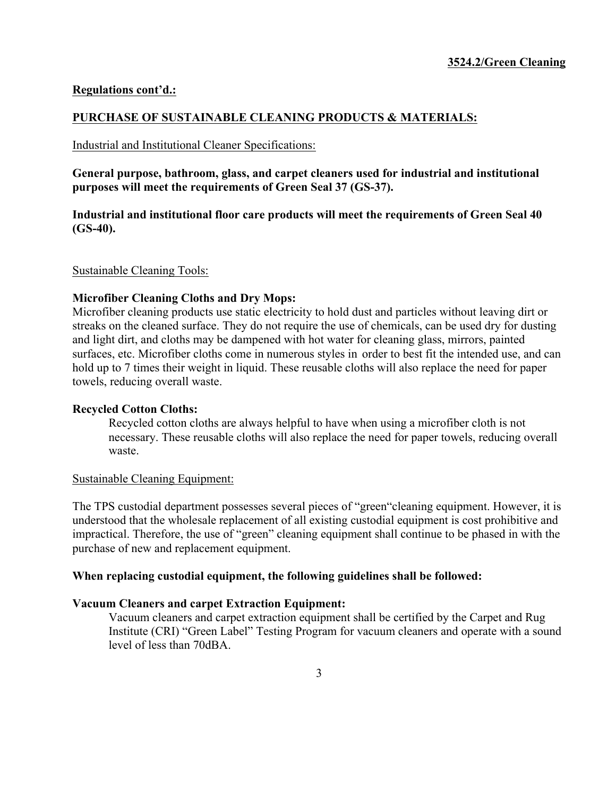## **Regulations cont'd.:**

#### **PURCHASE OF SUSTAINABLE CLEANING PRODUCTS & MATERIALS:**

#### Industrial and Institutional Cleaner Specifications:

**General purpose, bathroom, glass, and carpet cleaners used for industrial and institutional purposes will meet the requirements of Green Seal 37 (GS-37).** 

**Industrial and institutional floor care products will meet the requirements of Green Seal 40 (GS-40).** 

Sustainable Cleaning Tools:

#### **Microfiber Cleaning Cloths and Dry Mops:**

Microfiber cleaning products use static electricity to hold dust and particles without leaving dirt or streaks on the cleaned surface. They do not require the use of chemicals, can be used dry for dusting and light dirt, and cloths may be dampened with hot water for cleaning glass, mirrors, painted surfaces, etc. Microfiber cloths come in numerous styles in order to best fit the intended use, and can hold up to 7 times their weight in liquid. These reusable cloths will also replace the need for paper towels, reducing overall waste.

#### **Recycled Cotton Cloths:**

Recycled cotton cloths are always helpful to have when using a microfiber cloth is not necessary. These reusable cloths will also replace the need for paper towels, reducing overall waste.

#### Sustainable Cleaning Equipment:

Sustainable Cleaning Equipment:<br>The TPS custodial department possesses several pieces of "green"cleaning equipment. However, it is understood that the wholesale replacement of all existing custodial equipment is cost prohibitive and impractical. Therefore, the use of "green" cleaning equipment shall continue to be phased in with the purchase of new and replacement equipment.

#### **When replacing custodial equipment, the following guidelines shall be followed:**

#### **Vacuum Cleaners and carpet Extraction Equipment:**

Vacuum cleaners and carpet extraction equipment shall be certified by the Carpet and Rug Institute (CRI) "Green Label" Testing Program for vacuum cleaners and operate with a sound level of less than 70dBA.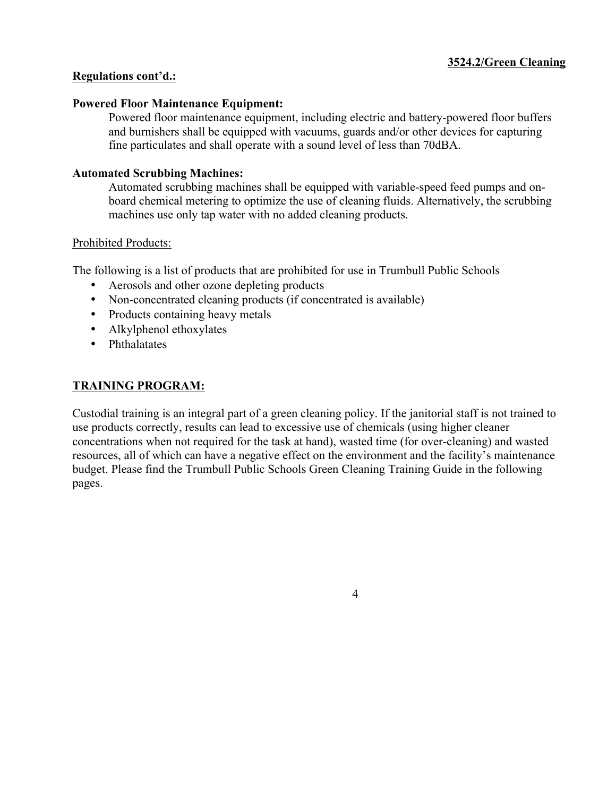#### **Regulations cont'd.:**

#### **Powered Floor Maintenance Equipment:**

Powered floor maintenance equipment, including electric and battery-powered floor buffers and burnishers shall be equipped with vacuums, guards and/or other devices for capturing fine particulates and shall operate with a sound level of less than 70dBA.

## **Automated Scrubbing Machines:**

Automated scrubbing machines shall be equipped with variable-speed feed pumps and onboard chemical metering to optimize the use of cleaning fluids. Alternatively, the scrubbing machines use only tap water with no added cleaning products.

## Prohibited Products:

Prohibited Products:<br>The following is a list of products that are prohibited for use in Trumbull Public Schools

- Aerosols and other ozone depleting products
- Non-concentrated cleaning products (if concentrated is available)
- Products containing heavy metals
- Alkylphenol ethoxylates
- Phthalatates

# **TRAINING PROGRAM:**

Custodial training is an integral part of a green cleaning policy. If the janitorial staff is not trained to use products correctly, results can lead to excessive use of chemicals (using higher cleaner concentrations when not required for the task at hand), wasted time (for over-cleaning) and wasted resources, all of which can have a negative effect on the environment and the facility's maintenance budget. Please find the Trumbull Public Schools Green Cleaning Training Guide in the following pages.

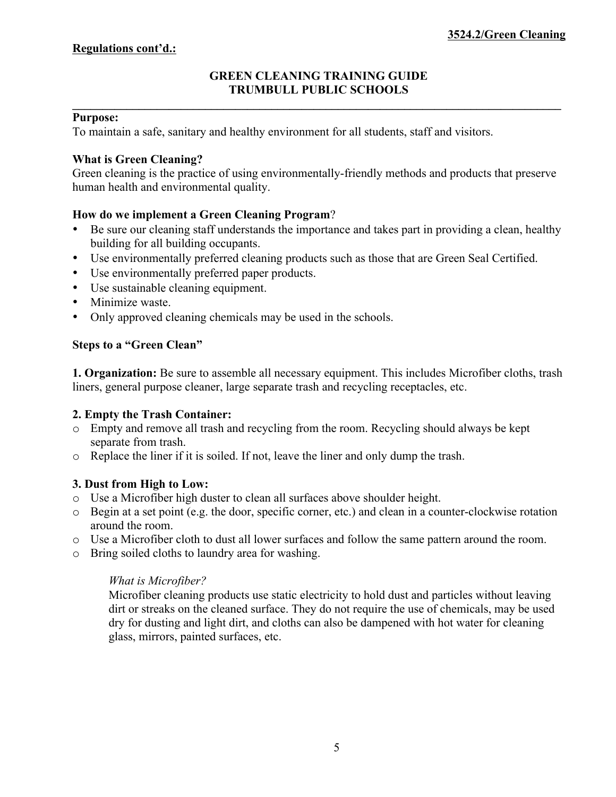## **GREEN CLEANING TRAINING GUIDE TRUMBULL PUBLIC SCHOOLS**

**\_\_\_\_\_\_\_\_\_\_\_\_\_\_\_\_\_\_\_\_\_\_\_\_\_\_\_\_\_\_\_\_\_\_\_\_\_\_\_\_\_\_\_\_\_\_\_\_\_\_\_\_\_\_\_\_\_\_\_\_\_\_\_\_\_\_\_\_\_\_\_\_\_\_\_\_\_\_\_\_\_** 

#### **Purpose:**

To maintain a safe, sanitary and healthy environment for all students, staff and visitors.

#### **What is Green Cleaning?**

Green cleaning is the practice of using environmentally-friendly methods and products that preserve human health and environmental quality.

## **How do we implement a Green Cleaning Program**?

- Be sure our cleaning staff understands the importance and takes part in providing a clean, healthy building for all building occupants.
- Use environmentally preferred cleaning products such as those that are Green Seal Certified.
- Use environmentally preferred paper products.
- Use sustainable cleaning equipment.
- Minimize waste.
- Only approved cleaning chemicals may be used in the schools.

## **Steps to a "Green Clean"**

**1. Organization:** Be sure to assemble all necessary equipment. This includes Microfiber cloths, trash liners, general purpose cleaner, large separate trash and recycling receptacles, etc.

#### **2. Empty the Trash Container:**

- separate from trash. o Empty and remove all trash and recycling from the room. Recycling should always be kept
- o Replace the liner if it is soiled. If not, leave the liner and only dump the trash.

# **3. Dust from High to Low:**

- o Use a Microfiber high duster to clean all surfaces above shoulder height.
- o Begin at a set point (e.g. the door, specific corner, etc.) and clean in a counter-clockwise rotation around the room.
- o Use a Microfiber cloth to dust all lower surfaces and follow the same pattern around the room.
- o Bring soiled cloths to laundry area for washing.

# *What is Microfiber?*

Microfiber cleaning products use static electricity to hold dust and particles without leaving dirt or streaks on the cleaned surface. They do not require the use of chemicals, may be used dry for dusting and light dirt, and cloths can also be dampened with hot water for cleaning glass, mirrors, painted surfaces, etc.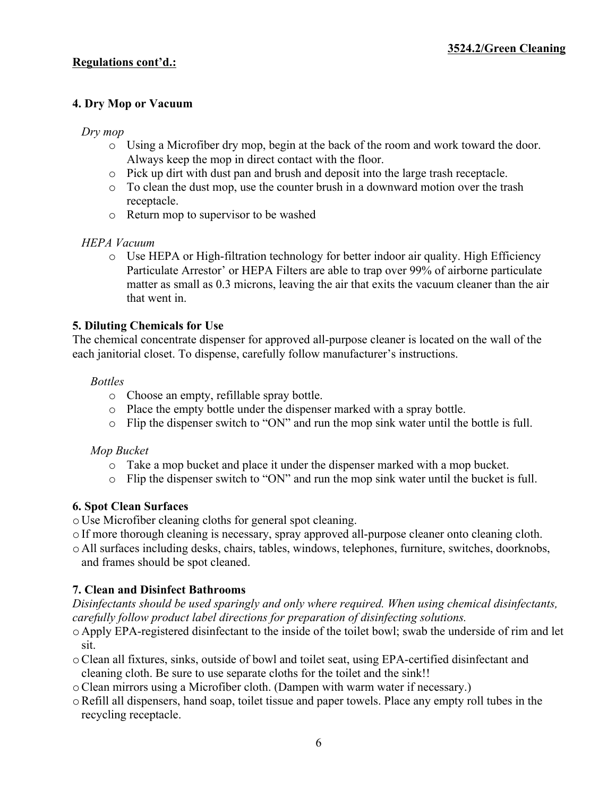# **4. Dry Mop or Vacuum**

## *Dry mop*

- o Using a Microfiber dry mop, begin at the back of the room and work toward the door. Always keep the mop in direct contact with the floor.
- o Pick up dirt with dust pan and brush and deposit into the large trash receptacle.
- o To clean the dust mop, use the counter brush in a downward motion over the trash receptacle.
- o Return mop to supervisor to be washed

# *HEPA Vacuum*

o Use HEPA or High-filtration technology for better indoor air quality. High Efficiency Particulate Arrestor' or HEPA Filters are able to trap over 99% of airborne particulate matter as small as 0.3 microns, leaving the air that exits the vacuum cleaner than the air that went in.

## **5. Diluting Chemicals for Use**

The chemical concentrate dispenser for approved all-purpose cleaner is located on the wall of the each janitorial closet. To dispense, carefully follow manufacturer's instructions.

#### *Bottles*

- o Choose an empty, refillable spray bottle.
- o Place the empty bottle under the dispenser marked with a spray bottle.
- o Flip the dispenser switch to "ON" and run the mop sink water until the bottle is full.

#### *Mop Bucket*

- o Take a mop bucket and place it under the dispenser marked with a mop bucket.
- o Flip the dispenser switch to "ON" and run the mop sink water until the bucket is full.

# **6. Spot Clean Surfaces**

o Use Microfiber cleaning cloths for general spot cleaning.

- o If more thorough cleaning is necessary, spray approved all-purpose cleaner onto cleaning cloth.
- o All surfaces including desks, chairs, tables, windows, telephones, furniture, switches, doorknobs, and frames should be spot cleaned.

# **7. Clean and Disinfect Bathrooms**

*Disinfectants should be used sparingly and only where required. When using chemical disinfectants, carefully follow product label directions for preparation of disinfecting solutions.* 

- o Apply EPA-registered disinfectant to the inside of the toilet bowl; swab the underside of rim and let sit.
- oClean all fixtures, sinks, outside of bowl and toilet seat, using EPA-certified disinfectant and cleaning cloth. Be sure to use separate cloths for the toilet and the sink!!
- oClean mirrors using a Microfiber cloth. (Dampen with warm water if necessary.)
- oRefill all dispensers, hand soap, toilet tissue and paper towels. Place any empty roll tubes in the recycling receptacle.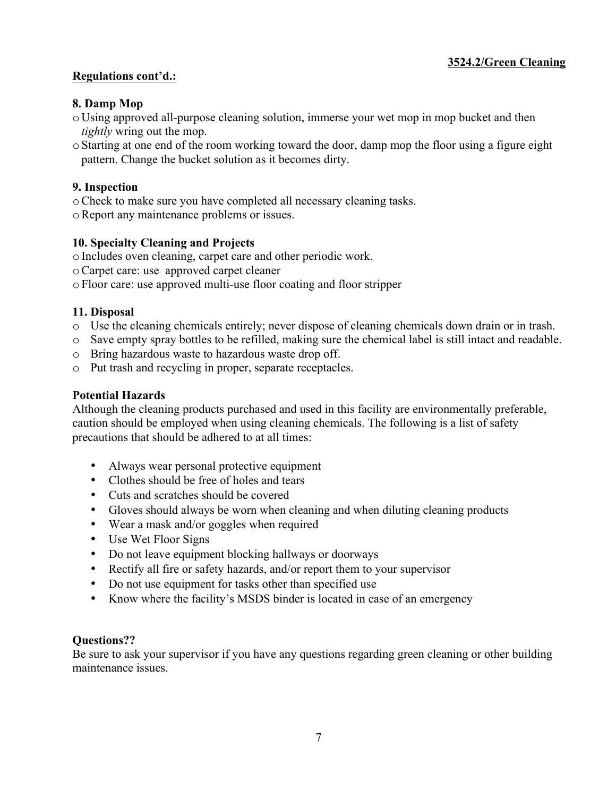# **Regulations cont'd.:**

# **8. Damp Mop**

- o Using approved all-purpose cleaning solution, immerse your wet mop in mop bucket and then *tightly* wring out the mop.
- oStarting at one end of the room working toward the door, damp mop the floor using a figure eight pattern. Change the bucket solution as it becomes dirty.

# **9. Inspection**

- oCheck to make sure you have completed all necessary cleaning tasks.
- oReport any maintenance problems or issues.

# **10. Specialty Cleaning and Projects**

- oIncludes oven cleaning, carpet care and other periodic work.
- oCarpet care: use approved carpet cleaner

oFloor care: use approved multi-use floor coating and floor stripper

## **11. Disposal**

- o Use the cleaning chemicals entirely; never dispose of cleaning chemicals down drain or in trash.
- o Save empty spray bottles to be refilled, making sure the chemical label is still intact and readable.
- o Bring hazardous waste to hazardous waste drop off.
- o Put trash and recycling in proper, separate receptacles.

# **Potential Hazards**

Although the cleaning products purchased and used in this facility are environmentally preferable, caution should be employed when using cleaning chemicals. The following is a list of safety precautions that should be adhered to at all times:

- Always wear personal protective equipment
- Clothes should be free of holes and tears
- Cuts and scratches should be covered
- Gloves should always be worn when cleaning and when diluting cleaning products
- Wear a mask and/or goggles when required
- Use Wet Floor Signs
- Do not leave equipment blocking hallways or doorways
- Rectify all fire or safety hazards, and/or report them to your supervisor
- Do not use equipment for tasks other than specified use
- Know where the facility's MSDS binder is located in case of an emergency

# **Questions??**

Be sure to ask your supervisor if you have any questions regarding green cleaning or other building maintenance issues.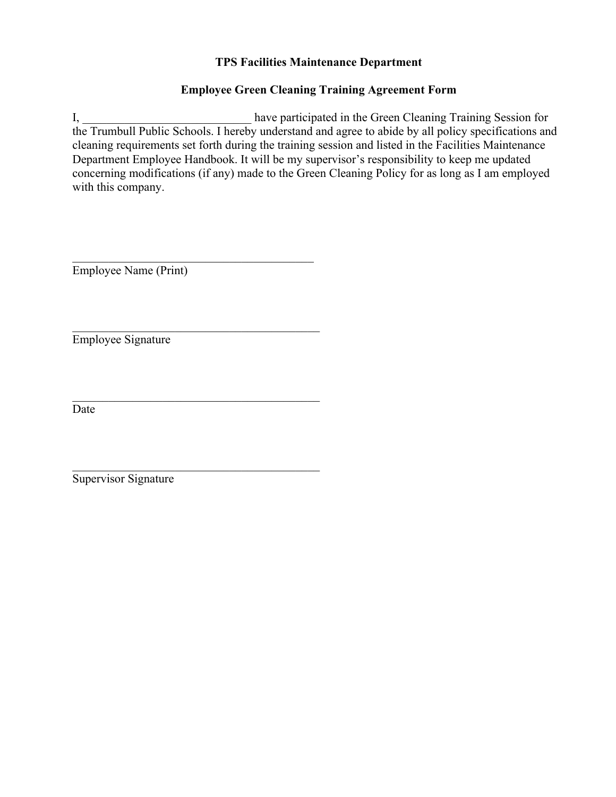# **TPS Facilities Maintenance Department**

# **Employee Green Cleaning Training Agreement Form**

I, have participated in the Green Cleaning Training Session for the Trumbull Public Schools. I hereby understand and agree to abide by all policy specifications and cleaning requirements set forth during the training session and listed in the Facilities Maintenance Department Employee Handbook. It will be my supervisor's responsibility to keep me updated concerning modifications (if any) made to the Green Cleaning Policy for as long as I am employed with this company.

Employee Name (Print)

\_\_\_\_\_\_\_\_\_\_\_\_\_\_\_\_\_\_\_\_\_\_\_\_\_\_\_\_\_\_\_\_\_\_\_\_\_\_\_\_

\_\_\_\_\_\_\_\_\_\_\_\_\_\_\_\_\_\_\_\_\_\_\_\_\_\_\_\_\_\_\_\_\_\_\_\_\_\_\_\_\_

\_\_\_\_\_\_\_\_\_\_\_\_\_\_\_\_\_\_\_\_\_\_\_\_\_\_\_\_\_\_\_\_\_\_\_\_\_\_\_\_\_

\_\_\_\_\_\_\_\_\_\_\_\_\_\_\_\_\_\_\_\_\_\_\_\_\_\_\_\_\_\_\_\_\_\_\_\_\_\_\_\_\_

Employee Signature

Date

Supervisor Signature